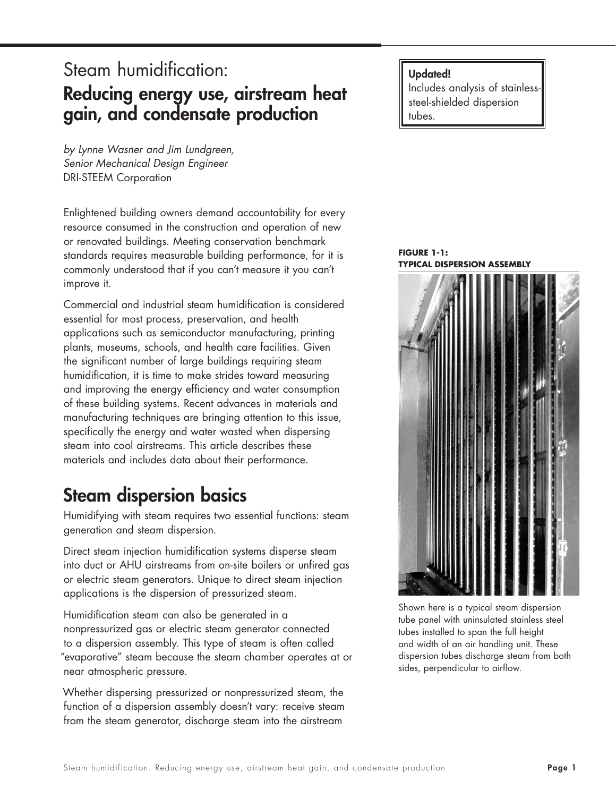# Steam humidification: Reducing energy use, airstream heat gain, and condensate production

*by Lynne Wasner and Jim Lundgreen, Senior Mechanical Design Engineer* DRI-STEEM Corporation

Enlightened building owners demand accountability for every resource consumed in the construction and operation of new or renovated buildings. Meeting conservation benchmark standards requires measurable building performance, for it is commonly understood that if you can't measure it you can't improve it.

Commercial and industrial steam humidification is considered essential for most process, preservation, and health applications such as semiconductor manufacturing, printing plants, museums, schools, and health care facilities. Given the significant number of large buildings requiring steam humidification, it is time to make strides toward measuring and improving the energy efficiency and water consumption of these building systems. Recent advances in materials and manufacturing techniques are bringing attention to this issue, specifically the energy and water wasted when dispersing steam into cool airstreams. This article describes these materials and includes data about their performance.

# Steam dispersion basics

Humidifying with steam requires two essential functions: steam generation and steam dispersion.

Direct steam injection humidification systems disperse steam into duct or AHU airstreams from on-site boilers or unfired gas or electric steam generators. Unique to direct steam injection applications is the dispersion of pressurized steam.

Humidification steam can also be generated in a nonpressurized gas or electric steam generator connected to a dispersion assembly. This type of steam is often called "evaporative" steam because the steam chamber operates at or near atmospheric pressure.

Whether dispersing pressurized or nonpressurized steam, the function of a dispersion assembly doesn't vary: receive steam from the steam generator, discharge steam into the airstream

#### Updated!

Includes analysis of stainlesssteel-shielded dispersion tubes.

**FIGURE 1-1: TYPICAL DISPERSION ASSEMBLY**



Shown here is a typical steam dispersion tube panel with uninsulated stainless steel tubes installed to span the full height and width of an air handling unit. These dispersion tubes discharge steam from both sides, perpendicular to airflow.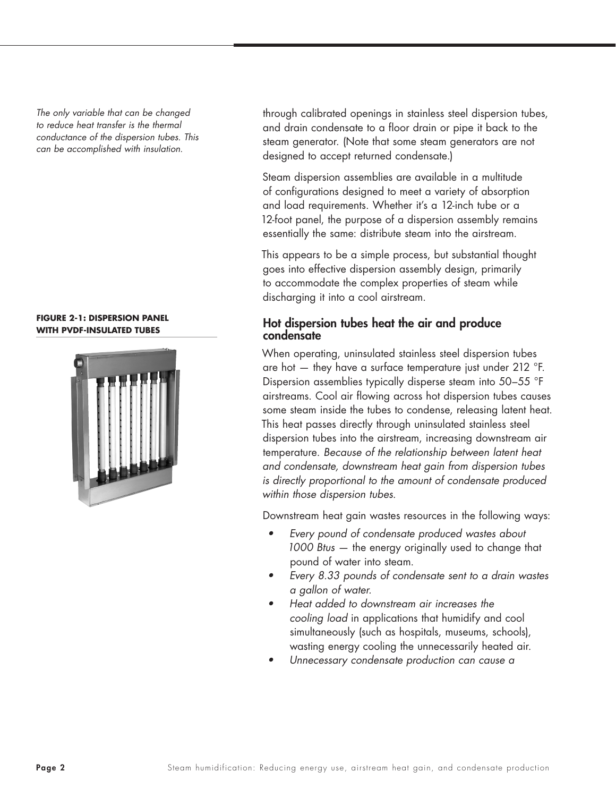*The only variable that can be changed to reduce heat transfer is the thermal conductance of the dispersion tubes. This can be accomplished with insulation.*

#### **FIGURE 2-1: DISPERSION PANEL WITH PVDF-INSULATED TUBES**



through calibrated openings in stainless steel dispersion tubes, and drain condensate to a floor drain or pipe it back to the steam generator. (Note that some steam generators are not designed to accept returned condensate.)

Steam dispersion assemblies are available in a multitude of configurations designed to meet a variety of absorption and load requirements. Whether it's a 12-inch tube or a 12-foot panel, the purpose of a dispersion assembly remains essentially the same: distribute steam into the airstream.

This appears to be a simple process, but substantial thought goes into effective dispersion assembly design, primarily to accommodate the complex properties of steam while discharging it into a cool airstream.

### Hot dispersion tubes heat the air and produce condensate

When operating, uninsulated stainless steel dispersion tubes are hot — they have a surface temperature just under 212 °F. Dispersion assemblies typically disperse steam into 50–55 °F airstreams. Cool air flowing across hot dispersion tubes causes some steam inside the tubes to condense, releasing latent heat. This heat passes directly through uninsulated stainless steel dispersion tubes into the airstream, increasing downstream air temperature. *Because of the relationship between latent heat and condensate, downstream heat gain from dispersion tubes is directly proportional to the amount of condensate produced within those dispersion tubes.*

Downstream heat gain wastes resources in the following ways:

- *• Every pound of condensate produced wastes about 1000 Btus* — the energy originally used to change that pound of water into steam.
- *• Every 8.33 pounds of condensate sent to a drain wastes a gallon of water.*
- *• Heat added to downstream air increases the cooling load* in applications that humidify and cool simultaneously (such as hospitals, museums, schools), wasting energy cooling the unnecessarily heated air.
- *• Unnecessary condensate production can cause a*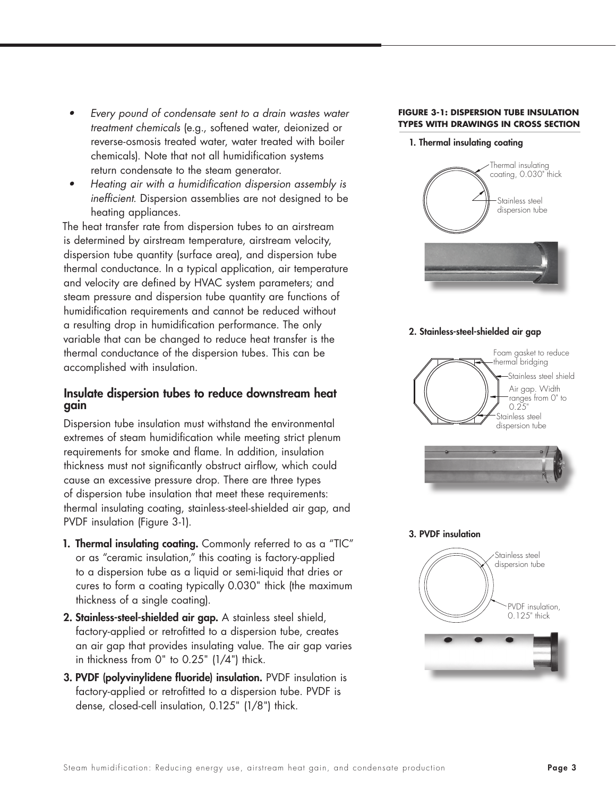- *• Every pound of condensate sent to a drain wastes water treatment chemicals* (e.g., softened water, deionized or reverse-osmosis treated water, water treated with boiler chemicals). Note that not all humidification systems return condensate to the steam generator.
- *• Heating air with a humidification dispersion assembly is inefficient.* Dispersion assemblies are not designed to be heating appliances.

The heat transfer rate from dispersion tubes to an airstream is determined by airstream temperature, airstream velocity, dispersion tube quantity (surface area), and dispersion tube thermal conductance. In a typical application, air temperature and velocity are defined by HVAC system parameters; and steam pressure and dispersion tube quantity are functions of humidification requirements and cannot be reduced without a resulting drop in humidification performance. The only variable that can be changed to reduce heat transfer is the thermal conductance of the dispersion tubes. This can be accomplished with insulation.

## Insulate dispersion tubes to reduce downstream heat gain

Dispersion tube insulation must withstand the environmental extremes of steam humidification while meeting strict plenum requirements for smoke and flame. In addition, insulation thickness must not significantly obstruct airflow, which could cause an excessive pressure drop. There are three types of dispersion tube insulation that meet these requirements: thermal insulating coating, stainless-steel-shielded air gap, and PVDF insulation (Figure 3-1).

- 1. Thermal insulating coating. Commonly referred to as a "TIC" or as "ceramic insulation," this coating is factory-applied to a dispersion tube as a liquid or semi-liquid that dries or cures to form a coating typically 0.030" thick (the maximum thickness of a single coating).
- 2. Stainless-steel-shielded air gap. A stainless steel shield, factory-applied or retrofitted to a dispersion tube, creates an air gap that provides insulating value. The air gap varies in thickness from 0" to 0.25" (1/4") thick.
- 3. PVDF (polyvinylidene fluoride) insulation. PVDF insulation is factory-applied or retrofitted to a dispersion tube. PVDF is dense, closed-cell insulation, 0.125" (1/8") thick.

#### **FIGURE 3-1: DISPERSION TUBE INSULATION TYPES WITH DRAWINGS IN CROSS SECTION**

#### 1. Thermal insulating coating



#### 2. Stainless-steel-shielded air gap



3. PVDF insulation

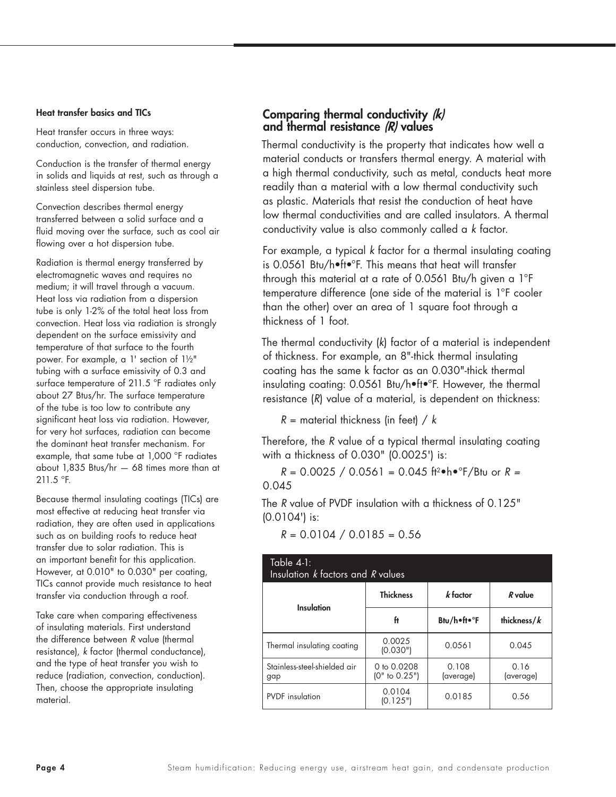#### Heat transfer basics and TICs

Heat transfer occurs in three ways: conduction, convection, and radiation.

Conduction is the transfer of thermal energy in solids and liquids at rest, such as through a stainless steel dispersion tube.

Convection describes thermal energy transferred between a solid surface and a fluid moving over the surface, such as cool air flowing over a hot dispersion tube.

Radiation is thermal energy transferred by electromagnetic waves and requires no medium; it will travel through a vacuum. Heat loss via radiation from a dispersion tube is only 1-2% of the total heat loss from convection. Heat loss via radiation is strongly dependent on the surface emissivity and temperature of that surface to the fourth power. For example, a 1' section of 1½" tubing with a surface emissivity of 0.3 and surface temperature of 211.5 °F radiates only about 27 Btus/hr. The surface temperature of the tube is too low to contribute any significant heat loss via radiation. However, for very hot surfaces, radiation can become the dominant heat transfer mechanism. For example, that same tube at 1,000 ºF radiates about 1,835 Btus/hr — 68 times more than at 211.5 ºF.

Because thermal insulating coatings (TICs) are most effective at reducing heat transfer via radiation, they are often used in applications such as on building roofs to reduce heat transfer due to solar radiation. This is an important benefit for this application. However, at 0.010" to 0.030" per coating, TICs cannot provide much resistance to heat transfer via conduction through a roof.

Take care when comparing effectiveness of insulating materials. First understand the difference between *R* value (thermal resistance), *k* factor (thermal conductance), and the type of heat transfer you wish to reduce (radiation, convection, conduction). Then, choose the appropriate insulating material.

## Comparing thermal conductivity (k) and thermal resistance (R) values

Thermal conductivity is the property that indicates how well a material conducts or transfers thermal energy. A material with a high thermal conductivity, such as metal, conducts heat more readily than a material with a low thermal conductivity such as plastic. Materials that resist the conduction of heat have low thermal conductivities and are called insulators. A thermal conductivity value is also commonly called a *k* factor.

For example, a typical *k* factor for a thermal insulating coating is 0.0561 Btu/h•ft•°F. This means that heat will transfer through this material at a rate of 0.0561 Btu/h given a 1°F temperature difference (one side of the material is 1°F cooler than the other) over an area of 1 square foot through a thickness of 1 foot.

The thermal conductivity (*k*) factor of a material is independent of thickness. For example, an 8"-thick thermal insulating coating has the same k factor as an 0.030"-thick thermal insulating coating: 0.0561 Btu/h•ft•°F. However, the thermal resistance (*R*) value of a material, is dependent on thickness:

*R* = material thickness (in feet) / *k*

Therefore, the *R* value of a typical thermal insulating coating with a thickness of 0.030" (0.0025') is:

*R* = 0.0025 / 0.0561 = 0.045 ft2•h•°F/Btu or *R =*  0.045

The *R* value of PVDF insulation with a thickness of 0.125" (0.0104') is:

 $R = 0.0104 / 0.0185 = 0.56$ 

| Table 4-1:<br>Insulation $k$ factors and $R$ values |                                   |                    |                             |  |  |  |  |  |
|-----------------------------------------------------|-----------------------------------|--------------------|-----------------------------|--|--|--|--|--|
| <b>Insulation</b>                                   | <b>Thickness</b>                  | $k$ factor         | $R$ value<br>thickness/ $k$ |  |  |  |  |  |
|                                                     | ft                                | Btu/h•ft•°F        |                             |  |  |  |  |  |
| Thermal insulating coating                          | 0.0025<br>(0.030")                | 0.0561             | 0.045                       |  |  |  |  |  |
| Stainless-steel-shielded air<br>gap                 | 0 to $0.0208$<br>$(0"$ to $0.25"$ | 0.108<br>(average) | 0.16<br>(average)           |  |  |  |  |  |
| <b>PVDF</b> insulation                              | 0.0104<br>(0.125")                | 0.0185             | 0.56                        |  |  |  |  |  |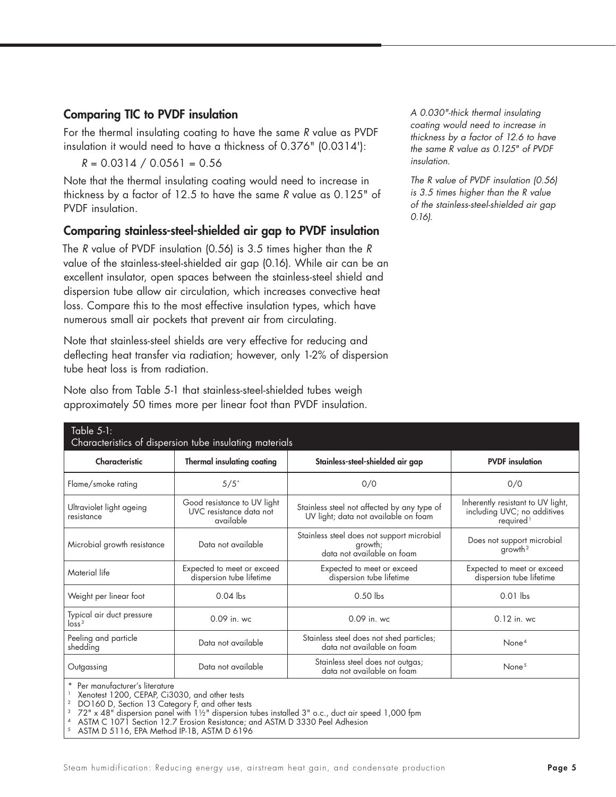## Comparing TIC to PVDF insulation

For the thermal insulating coating to have the same *R* value as PVDF insulation it would need to have a thickness of 0.376" (0.0314'):

 $R = 0.0314 / 0.0561 = 0.56$ 

Note that the thermal insulating coating would need to increase in thickness by a factor of 12.5 to have the same *R* value as 0.125" of PVDF insulation.

## Comparing stainless-steel-shielded air gap to PVDF insulation

The *R* value of PVDF insulation (0.56) is 3.5 times higher than the *R* value of the stainless-steel-shielded air gap (0.16). While air can be an excellent insulator, open spaces between the stainless-steel shield and dispersion tube allow air circulation, which increases convective heat loss. Compare this to the most effective insulation types, which have numerous small air pockets that prevent air from circulating.

Note that stainless-steel shields are very effective for reducing and deflecting heat transfer via radiation; however, only 1-2% of dispersion tube heat loss is from radiation.

| Note also from Table 5-1 that stainless-steel-shielded tubes weigh |  |  |  |  |  |
|--------------------------------------------------------------------|--|--|--|--|--|
| approximately 50 times more per linear foot than PVDF insulation.  |  |  |  |  |  |

*A 0.030"-thick thermal insulating coating would need to increase in thickness by a factor of 12.6 to have the same R value as 0.125" of PVDF insulation.*

*The R value of PVDF insulation (0.56) is 3.5 times higher than the R value of the stainless-steel-shielded air gap 0.16).* 

| Table 5-1:<br>Characteristics of dispersion tube insulating materials |                                                                     |                                                                                     |                                                                                           |  |  |  |  |  |  |
|-----------------------------------------------------------------------|---------------------------------------------------------------------|-------------------------------------------------------------------------------------|-------------------------------------------------------------------------------------------|--|--|--|--|--|--|
| Characteristic                                                        | <b>Thermal insulating coating</b>                                   | Stainless-steel-shielded air gap                                                    | <b>PVDF</b> insulation                                                                    |  |  |  |  |  |  |
| Flame/smoke rating                                                    | $5/5$ <sup>*</sup>                                                  | 0/0                                                                                 | 0/0                                                                                       |  |  |  |  |  |  |
| Ultraviolet light ageing<br>resistance                                | Good resistance to UV light<br>UVC resistance data not<br>available | Stainless steel not affected by any type of<br>UV light; data not available on foam | Inherently resistant to UV light,<br>including UVC; no additives<br>required <sup>1</sup> |  |  |  |  |  |  |
| Microbial growth resistance                                           | Data not available                                                  | Stainless steel does not support microbial<br>growth;<br>data not available on foam | Does not support microbial<br>qrowth <sup>2</sup>                                         |  |  |  |  |  |  |
| Material life                                                         | Expected to meet or exceed<br>dispersion tube lifetime              | Expected to meet or exceed<br>dispersion tube lifetime                              | Expected to meet or exceed<br>dispersion tube lifetime                                    |  |  |  |  |  |  |
| Weight per linear foot                                                | $0.04$ lbs                                                          | $0.50$ lbs                                                                          | $0.01$ lbs                                                                                |  |  |  |  |  |  |
| Typical air duct pressure<br>$\frac{1}{2}$                            | 0.09 in. wc                                                         | 0.09 in. wc                                                                         | $0.12$ in. wc                                                                             |  |  |  |  |  |  |
| Peeling and particle<br>shedding                                      | Data not available                                                  | Stainless steel does not shed particles;<br>data not available on foam              | None <sup>4</sup>                                                                         |  |  |  |  |  |  |
| Outgassing                                                            | Data not available                                                  | Stainless steel does not outgas;<br>data not available on foam                      | None <sup>5</sup>                                                                         |  |  |  |  |  |  |
| $\star$ Decimentation of Heading                                      |                                                                     |                                                                                     |                                                                                           |  |  |  |  |  |  |

Per manutacturer's literature

1 Xenotest 1200, CEPAP, Ci3030, and other tests

 $^{\rm 2}$   $\,$  DO160 D, Section 13 Category F, and other tests

 $^3$   $\,$  72" x 48" dispersion panel with 1½" dispersion tubes installed 3" o.c., duct air speed 1,000 fpm

4 ASTM C 1071 Section 12.7 Erosion Resistance; and ASTM D 3330 Peel Adhesion

5 ASTM D 5116, EPA Method IP-1B, ASTM D 6196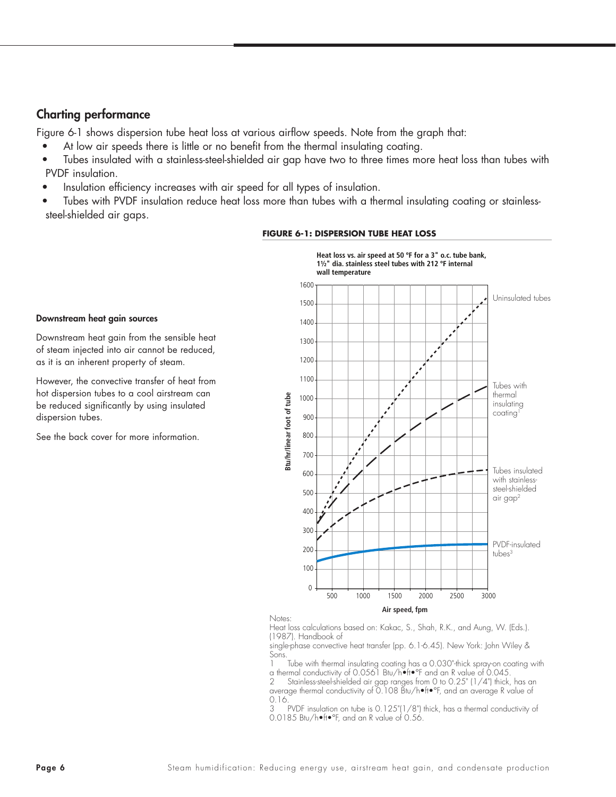### Charting performance

Figure 6-1 shows dispersion tube heat loss at various airflow speeds. Note from the graph that:

- At low air speeds there is little or no benefit from the thermal insulating coating.
- Tubes insulated with a stainless-steel-shielded air gap have two to three times more heat loss than tubes with PVDF insulation.
- Insulation efficiency increases with air speed for all types of insulation.
- Tubes with PVDF insulation reduce heat loss more than tubes with a thermal insulating coating or stainlesssteel-shielded air gaps.



#### **FIGURE 6-1: DISPERSION TUBE HEAT LOSS**

Downstream heat gain from the sensible heat of steam injected into air cannot be reduced, as it is an inherent property of steam.

Downstream heat gain sources

However, the convective transfer of heat from hot dispersion tubes to a cool airstream can be reduced significantly by using insulated dispersion tubes.

See the back cover for more information.

Notes:

Heat loss calculations based on: Kakac, S., Shah, R.K., and Aung, W. (Eds.). (1987). Handbook of

single-phase convective heat transfer (pp. 6.1-6.45). New York: John Wiley & Sons.

1 Tube with thermal insulating coating has a 0.030"-thick spray-on coating with a thermal conductivity of 0.0561 Btu/h•ft•°F and an R value of 0.045.

2 Stainless-steel-shielded air gap ranges from 0 to 0.25" (1/4") thick, has an average thermal conductivity of 0.108 Btu/h•ft•°F, and an average R value of  $0.16.$ <br>3 F

PVDF insulation on tube is 0.125"(1/8") thick, has a thermal conductivity of 0.0185 Btu/h•ft•°F, and an R value of 0.56.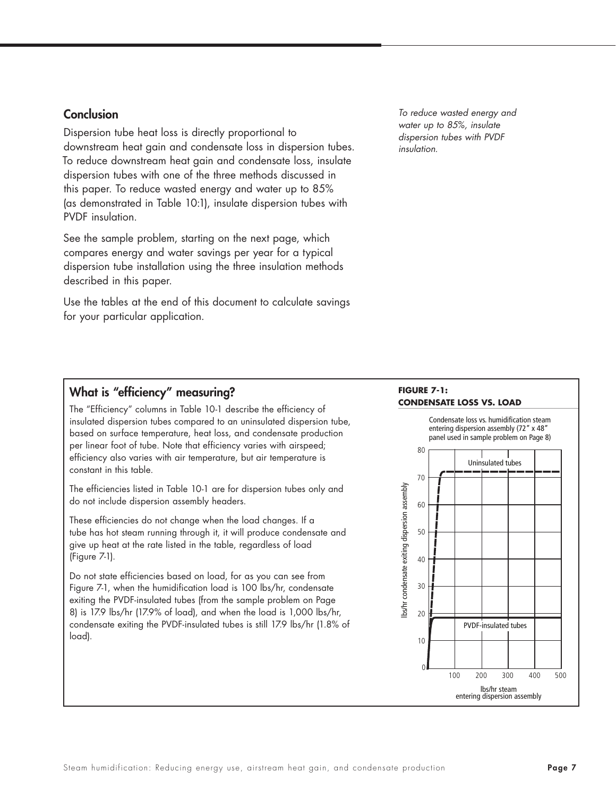#### **Conclusion**

Dispersion tube heat loss is directly proportional to downstream heat gain and condensate loss in dispersion tubes. To reduce downstream heat gain and condensate loss, insulate dispersion tubes with one of the three methods discussed in this paper. To reduce wasted energy and water up to 85% (as demonstrated in Table 10:1), insulate dispersion tubes with PVDF insulation.

See the sample problem, starting on the next page, which compares energy and water savings per year for a typical dispersion tube installation using the three insulation methods described in this paper.

Use the tables at the end of this document to calculate savings for your particular application.

*To reduce wasted energy and water up to 85%, insulate dispersion tubes with PVDF insulation.* 

# What is "efficiency" measuring?

The "Efficiency" columns in Table 10-1 describe the efficiency of insulated dispersion tubes compared to an uninsulated dispersion tube, based on surface temperature, heat loss, and condensate production per linear foot of tube. Note that efficiency varies with airspeed; efficiency also varies with air temperature, but air temperature is constant in this table.

The efficiencies listed in Table 10-1 are for dispersion tubes only and do not include dispersion assembly headers.

These efficiencies do not change when the load changes. If a tube has hot steam running through it, it will produce condensate and give up heat at the rate listed in the table, regardless of load (Figure 7-1).

Do not state efficiencies based on load, for as you can see from Figure 7-1, when the humidification load is 100 lbs/hr, condensate exiting the PVDF-insulated tubes (from the sample problem on Page 8) is 17.9 lbs/hr (17.9% of load), and when the load is 1,000 lbs/hr, condensate exiting the PVDF-insulated tubes is still 17.9 lbs/hr (1.8% of load).

#### **FIGURE 7-1: CONDENSATE LOSS VS. LOAD**

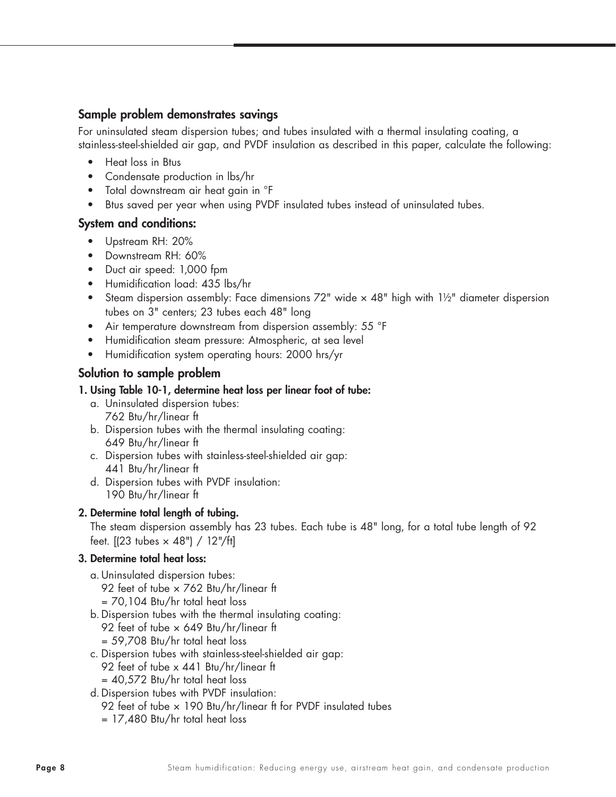# Sample problem demonstrates savings

For uninsulated steam dispersion tubes; and tubes insulated with a thermal insulating coating, a stainless-steel-shielded air gap, and PVDF insulation as described in this paper, calculate the following:

- Heat loss in Btus
- Condensate production in lbs/hr
- Total downstream air heat gain in °F
- Btus saved per year when using PVDF insulated tubes instead of uninsulated tubes.

# System and conditions:

- Upstream RH: 20%
- Downstream RH: 60%
- Duct air speed: 1,000 fpm
- Humidification load: 435 lbs/hr
- Steam dispersion assembly: Face dimensions 72" wide x 48" high with 11/2" diameter dispersion tubes on 3" centers; 23 tubes each 48" long
- Air temperature downstream from dispersion assembly: 55 °F
- Humidification steam pressure: Atmospheric, at sea level
- Humidification system operating hours: 2000 hrs/yr

# Solution to sample problem

## 1. Using Table 10-1, determine heat loss per linear foot of tube:

- a. Uninsulated dispersion tubes: 762 Btu/hr/linear ft
- b. Dispersion tubes with the thermal insulating coating: 649 Btu/hr/linear ft
- c. Dispersion tubes with stainless-steel-shielded air gap: 441 Btu/hr/linear ft
- d. Dispersion tubes with PVDF insulation: 190 Btu/hr/linear ft

# 2. Determine total length of tubing.

The steam dispersion assembly has 23 tubes. Each tube is 48" long, for a total tube length of 92 feet.  $[ (23 \t{tubes} × 48") / 12]/ft ]$ 

# 3. Determine total heat loss:

- a.Uninsulated dispersion tubes: 92 feet of tube × 762 Btu/hr/linear ft = 70,104 Btu/hr total heat loss
- b.Dispersion tubes with the thermal insulating coating: 92 feet of tube × 649 Btu/hr/linear ft = 59,708 Btu/hr total heat loss
- c. Dispersion tubes with stainless-steel-shielded air gap: 92 feet of tube x 441 Btu/hr/linear ft  $=$  40,572 Btu/hr total heat loss
- d.Dispersion tubes with PVDF insulation: 92 feet of tube  $\times$  190 Btu/hr/linear ft for PVDF insulated tubes = 17,480 Btu/hr total heat loss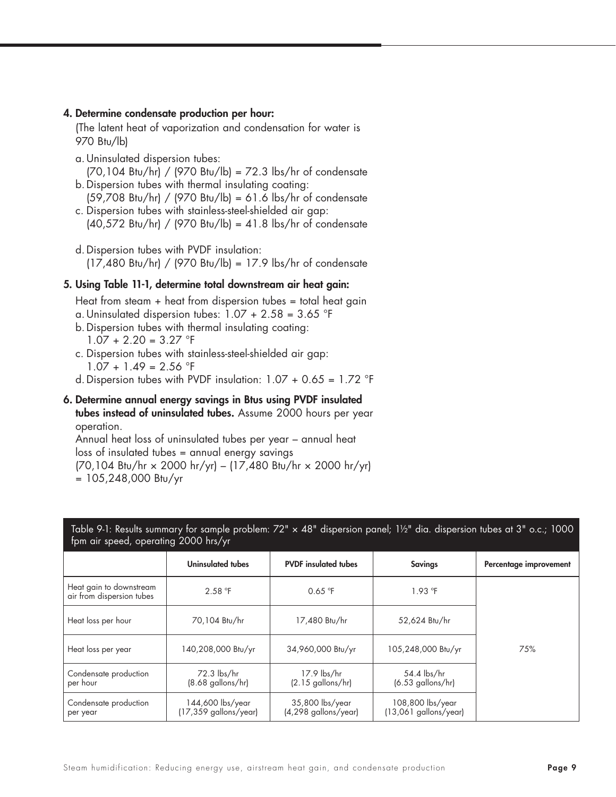#### 4. Determine condensate production per hour:

(The latent heat of vaporization and condensation for water is 970 Btu/lb)

- a.Uninsulated dispersion tubes:  $(70,104$  Btu/hr $)$  /  $(970$  Btu/lb $) = 72.3$  lbs/hr of condensate
- b.Dispersion tubes with thermal insulating coating: (59,708 Btu/hr) / (970 Btu/lb) = 61.6 lbs/hr of condensate
- c. Dispersion tubes with stainless-steel-shielded air gap: (40,572 Btu/hr) / (970 Btu/lb) = 41.8 lbs/hr of condensate
- d.Dispersion tubes with PVDF insulation: (17,480 Btu/hr) / (970 Btu/lb) = 17.9 lbs/hr of condensate

#### 5. Using Table 11-1, determine total downstream air heat gain:

Heat from steam  $+$  heat from dispersion tubes  $=$  total heat gain

- a. Uninsulated dispersion tubes:  $1.07 + 2.58 = 3.65$  °F
- b.Dispersion tubes with thermal insulating coating:  $1.07 + 2.20 = 3.27$  °F
- c. Dispersion tubes with stainless-steel-shielded air gap:  $1.07 + 1.49 = 2.56$  °F
- d. Dispersion tubes with PVDF insulation:  $1.07 + 0.65 = 1.72$  °F
- 6. Determine annual energy savings in Btus using PVDF insulated tubes instead of uninsulated tubes. Assume 2000 hours per year operation.

Annual heat loss of uninsulated tubes per year – annual heat loss of insulated tubes = annual energy savings (70,104 Btu/hr × 2000 hr/yr) – (17,480 Btu/hr × 2000 hr/yr)  $= 105,248,000$  Btu/yr

| Table 9-1: Results summary for sample problem: 72" x 48" dispersion panel; 11/2" dia. dispersion tubes at 3" o.c.; 1000<br>fpm air speed, operating 2000 hrs/yr |                                           |                                           |                                             |                        |  |  |  |  |
|-----------------------------------------------------------------------------------------------------------------------------------------------------------------|-------------------------------------------|-------------------------------------------|---------------------------------------------|------------------------|--|--|--|--|
|                                                                                                                                                                 | Uninsulated tubes                         | <b>PVDF</b> insulated tubes               | <b>Savings</b>                              | Percentage improvement |  |  |  |  |
| Heat gain to downstream<br>air from dispersion tubes                                                                                                            | 2.58 °F                                   | 0.65 °F                                   | $1.93$ °F                                   |                        |  |  |  |  |
| Heat loss per hour                                                                                                                                              | 70,104 Btu/hr                             | 17,480 Btu/hr                             | 52,624 Btu/hr                               |                        |  |  |  |  |
| Heat loss per year                                                                                                                                              | 140,208,000 Btu/yr                        | 34,960,000 Btu/yr                         | 105,248,000 Btu/yr                          | 75%                    |  |  |  |  |
| Condensate production<br>per hour                                                                                                                               | 72.3 lbs/hr<br>$(8.68$ gallons/hr)        | 17.9 lbs/hr<br>$(2.15$ gallons/hr)        | 54.4 lbs/hr<br>$(6.53$ gallons/hr)          |                        |  |  |  |  |
| Condensate production<br>per year                                                                                                                               | 144,600 lbs/year<br>(17,359 gallons/year) | 35,800 lbs/year<br>$(4,298$ gallons/year) | 108,800 lbs/year<br>$(13,061$ gallons/year) |                        |  |  |  |  |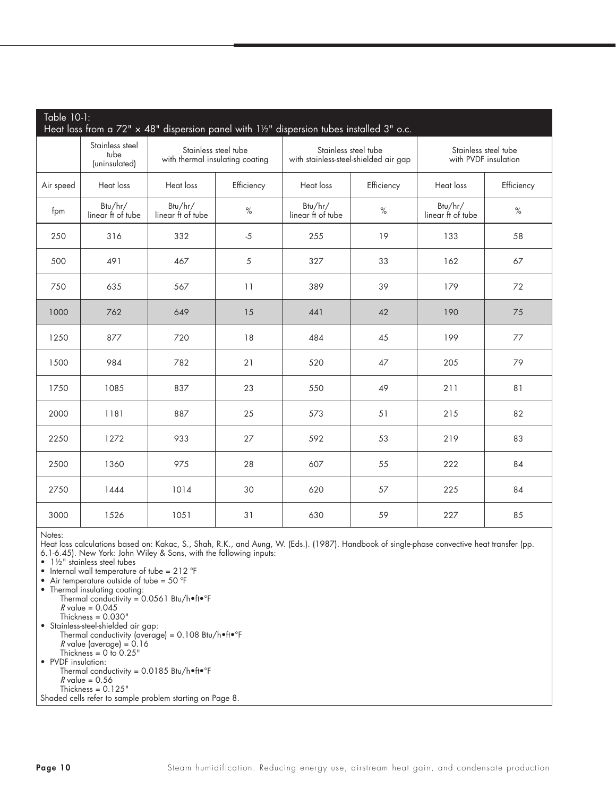| Table 10-1:<br>Heat loss from a $72" \times 48"$ dispersion panel with $1\frac{1}{2}$ " dispersion tubes installed 3" o.c. |                                          |                                 |                      |                                       |                      |                                              |            |  |  |  |
|----------------------------------------------------------------------------------------------------------------------------|------------------------------------------|---------------------------------|----------------------|---------------------------------------|----------------------|----------------------------------------------|------------|--|--|--|
|                                                                                                                            | Stainless steel<br>tube<br>(uninsulated) | with thermal insulating coating | Stainless steel tube | with stainless-steel-shielded air gap | Stainless steel tube | Stainless steel tube<br>with PVDF insulation |            |  |  |  |
| Air speed                                                                                                                  | Heat loss                                | Heat loss                       | Efficiency           | Heat loss<br>Efficiency               |                      | Heat loss                                    | Efficiency |  |  |  |
| fpm                                                                                                                        | Btu/hr/<br>linear ft of tube             | Btu/hr/<br>linear ft of tube    | $\%$                 | Btu/hr/<br>linear ft of tube          | $\%$                 | Btu/hr/<br>linear ft of tube                 | $\%$       |  |  |  |
| 250                                                                                                                        | 316                                      | 332                             | $-5$                 | 255                                   | 19                   | 133                                          | 58         |  |  |  |
| 500                                                                                                                        | 491                                      | 467                             | 5                    | 327                                   | 33                   | 162                                          | 67         |  |  |  |
| 750                                                                                                                        | 635                                      | 567                             | 11                   | 389                                   | 39                   | 179                                          | 72         |  |  |  |
| 1000                                                                                                                       | 762                                      | 649                             | 15                   | 441                                   | 42                   | 190                                          | 75         |  |  |  |
| 1250                                                                                                                       | 877                                      | 720                             | 18                   | 484                                   | 45                   | 199                                          | 77         |  |  |  |
| 1500                                                                                                                       | 984                                      | 782                             | 21                   | 520                                   | 47                   | 205                                          | 79         |  |  |  |
| 1750                                                                                                                       | 1085                                     | 837                             | 23                   | 550                                   | 49                   | 211                                          | 81         |  |  |  |
| 2000                                                                                                                       | 1181                                     | 887                             | 25                   | 573                                   | 51                   | 215                                          | 82         |  |  |  |
| 2250                                                                                                                       | 1272                                     | 933                             | 27                   | 592                                   | 53                   | 219                                          | 83         |  |  |  |
| 2500                                                                                                                       | 1360                                     | 975                             | 28                   | 607                                   | 55                   | 222                                          | 84         |  |  |  |
| 2750                                                                                                                       | 1444                                     | 1014                            | 30                   | 620                                   | 57                   | 225                                          | 84         |  |  |  |
| 3000                                                                                                                       | 1526                                     | 1051                            | 31                   | 630                                   | 59                   | 227                                          | 85         |  |  |  |

Notes:

Heat loss calculations based on: Kakac, S., Shah, R.K., and Aung, W. (Eds.). (1987). Handbook of single-phase convective heat transfer (pp. 6.1-6.45). New York: John Wiley & Sons, with the following inputs:

• 1½" stainless steel tubes

• Internal wall temperature of tube = 212 °F

• Air temperature outside of tube =  $50^{\circ}F$ 

• Thermal insulating coating:

 Thermal conductivity = 0.0561 Btu/h•ft•°F  $R$  value = 0.045 Thickness = 0.030" • Stainless-steel-shielded air gap:

 Thermal conductivity (average) = 0.108 Btu/h•ft•°F  $R$  value (average) = 0.16 Thickness  $= 0$  to 0.25" • PVDF insulation: Thermal conductivity =  $0.0185$  Btu/h•ft•°F  $R$  value = 0.56  $Thichness = 0.125"$ 

Shaded cells refer to sample problem starting on Page 8.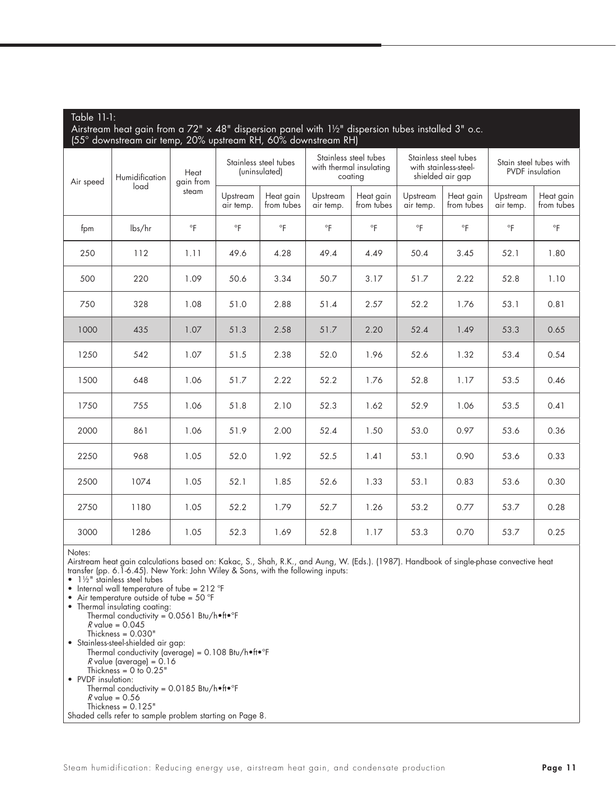| Airstream heat gain from a 72" $\times$ 48" dispersion panel with $1\frac{1}{2}$ " dispersion tubes installed 3" o.c.<br>(55° downstream air temp, 20% upstream RH, 60% downstream RH) |                |                   |                                        |                         |                       |                                                             |                       |                                                                    |                                                  |                         |
|----------------------------------------------------------------------------------------------------------------------------------------------------------------------------------------|----------------|-------------------|----------------------------------------|-------------------------|-----------------------|-------------------------------------------------------------|-----------------------|--------------------------------------------------------------------|--------------------------------------------------|-------------------------|
| Air speed<br>load                                                                                                                                                                      | Humidification | Heat<br>gain from | Stainless steel tubes<br>(uninsulated) |                         |                       | Stainless steel tubes<br>with thermal insulating<br>coating |                       | Stainless steel tubes<br>with stainless-steel-<br>shielded air gap | Stain steel tubes with<br><b>PVDF</b> insulation |                         |
|                                                                                                                                                                                        |                | steam             | Upstream<br>air temp.                  | Heat gain<br>from tubes | Upstream<br>air temp. | Heat gain<br>from tubes                                     | Upstream<br>air temp. | Heat gain<br>from tubes                                            | Upstream<br>air temp.                            | Heat gain<br>from tubes |
| fpm                                                                                                                                                                                    | lbs/hr         | $\circ$ F         | $\circ$ F                              | $\circ$ F               | $\circ$ F             | $\circ$ F                                                   | $\circ$ F             | $\circ$ F                                                          | $\circ$ F                                        | $\circ$ F               |
| 250                                                                                                                                                                                    | 112            | 1.11              | 49.6                                   | 4.28                    | 49.4                  | 4.49                                                        | 50.4                  | 3.45                                                               | 52.1                                             | 1.80                    |
| 500                                                                                                                                                                                    | 220            | 1.09              | 50.6                                   | 3.34                    | 50.7                  | 3.17                                                        | 51.7                  | 2.22                                                               | 52.8                                             | 1.10                    |
| 750                                                                                                                                                                                    | 328            | 1.08              | 51.0                                   | 2.88                    | 51.4                  | 2.57                                                        | 52.2                  | 1.76                                                               | 53.1                                             | 0.81                    |
| 1000                                                                                                                                                                                   | 435            | 1.07              | 51.3                                   | 2.58                    | 51.7                  | 2.20                                                        | 52.4                  | 1.49                                                               | 53.3                                             | 0.65                    |
| 1250                                                                                                                                                                                   | 542            | 1.07              | 51.5                                   | 2.38                    | 52.0                  | 1.96                                                        | 52.6                  | 1.32                                                               | 53.4                                             | 0.54                    |
| 1500                                                                                                                                                                                   | 648            | 1.06              | 51.7                                   | 2.22                    | 52.2                  | 1.76                                                        | 52.8                  | 1.17                                                               | 53.5                                             | 0.46                    |
| 1750                                                                                                                                                                                   | 755            | 1.06              | 51.8                                   | 2.10                    | 52.3                  | 1.62                                                        | 52.9                  | 1.06                                                               | 53.5                                             | 0.41                    |
| 2000                                                                                                                                                                                   | 861            | 1.06              | 51.9                                   | 2.00                    | 52.4                  | 1.50                                                        | 53.0                  | 0.97                                                               | 53.6                                             | 0.36                    |
| 2250                                                                                                                                                                                   | 968            | 1.05              | 52.0                                   | 1.92                    | 52.5                  | 1.41                                                        | 53.1                  | 0.90                                                               | 53.6                                             | 0.33                    |
| 2500                                                                                                                                                                                   | 1074           | 1.05              | 52.1                                   | 1.85                    | 52.6                  | 1.33                                                        | 53.1                  | 0.83                                                               | 53.6                                             | 0.30                    |
| 2750                                                                                                                                                                                   | 1180           | 1.05              | 52.2                                   | 1.79                    | 52.7                  | 1.26                                                        | 53.2                  | 0.77                                                               | 53.7                                             | 0.28                    |
| 3000                                                                                                                                                                                   | 1286           | 1.05              | 52.3                                   | 1.69                    | 52.8                  | 1.17                                                        | 53.3                  | 0.70                                                               | 53.7                                             | 0.25                    |

Notes:

Table 11-1:

Airstream heat gain calculations based on: Kakac, S., Shah, R.K., and Aung, W. (Eds.). (1987). Handbook of single-phase convective heat transfer (pp. 6.1-6.45). New York: John Wiley & Sons, with the following inputs:

• 1½" stainless steel tubes

• Internal wall temperature of tube = 212 °F

• Air temperature outside of tube =  $50^{\circ}$ F

• Thermal insulating coating:

 Thermal conductivity = 0.0561 Btu/h•ft•°F  $R$  value = 0.045

 $Thichness =  $0.030$$ 

• Stainless-steel-shielded air gap:

Thermal conductivity (average) = 0.108 Btu/h•ft•°F

 $R$  value (average) = 0.16

Thickness  $= 0$  to 0.25"

• PVDF insulation:

 Thermal conductivity = 0.0185 Btu/h•ft•°F  $R$  value = 0.56

Thickness =  $0.125"$ 

Shaded cells refer to sample problem starting on Page 8.